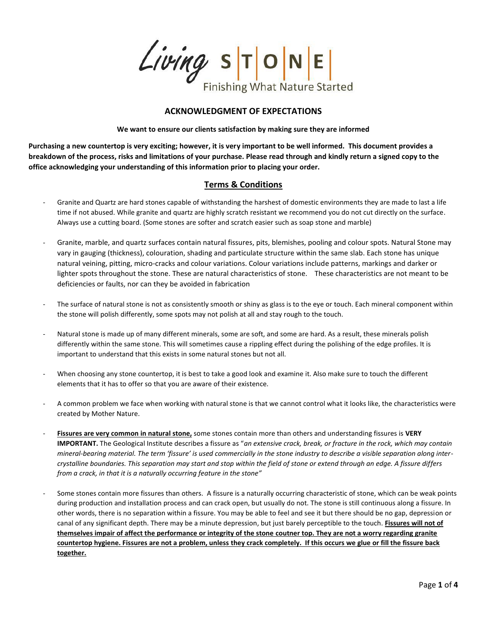$Living$  STONE **Finishing What Nature Started** 

## **ACKNOWLEDGMENT OF EXPECTATIONS**

**We want to ensure our clients satisfaction by making sure they are informed**

**Purchasing a new countertop is very exciting; however, it is very important to be well informed. This document provides a breakdown of the process, risks and limitations of your purchase. Please read through and kindly return a signed copy to the office acknowledging your understanding of this information prior to placing your order.** 

## **Terms & Conditions**

- Granite and Quartz are hard stones capable of withstanding the harshest of domestic environments they are made to last a life time if not abused. While granite and quartz are highly scratch resistant we recommend you do not cut directly on the surface. Always use a cutting board. (Some stones are softer and scratch easier such as soap stone and marble)
- Granite, marble, and quartz surfaces contain natural fissures, pits, blemishes, pooling and colour spots. Natural Stone may vary in gauging (thickness), colouration, shading and particulate structure within the same slab. Each stone has unique natural veining, pitting, micro-cracks and colour variations. Colour variations include patterns, markings and darker or lighter spots throughout the stone. These are natural characteristics of stone. These characteristics are not meant to be deficiencies or faults, nor can they be avoided in fabrication
- The surface of natural stone is not as consistently smooth or shiny as glass is to the eye or touch. Each mineral component within the stone will polish differently, some spots may not polish at all and stay rough to the touch.
- Natural stone is made up of many different minerals, some are soft, and some are hard. As a result, these minerals polish differently within the same stone. This will sometimes cause a rippling effect during the polishing of the edge profiles. It is important to understand that this exists in some natural stones but not all.
- When choosing any stone countertop, it is best to take a good look and examine it. Also make sure to touch the different elements that it has to offer so that you are aware of their existence.
- A common problem we face when working with natural stone is that we cannot control what it looks like, the characteristics were created by Mother Nature.
- **Fissures are very common in natural stone,** some stones contain more than others and understanding fissures is **VERY IMPORTANT.** The Geological Institute describes a fissure as "*an extensive crack, break, or fracture in the rock, which may contain mineral-bearing material. The term 'fissure' is used commercially in the stone industry to describe a visible separation along intercrystalline boundaries. This separation may start and stop within the field of stone or extend through an edge. A fissure differs from a crack, in that it is a naturally occurring feature in the stone"*
- Some stones contain more fissures than others. A fissure is a naturally occurring characteristic of stone, which can be weak points during production and installation process and can crack open, but usually do not. The stone is still continuous along a fissure. In other words, there is no separation within a fissure. You may be able to feel and see it but there should be no gap, depression or canal of any significant depth. There may be a minute depression, but just barely perceptible to the touch. **Fissures will not of themselves impair of affect the performance or integrity of the stone coutner top. They are not a worry regarding granite countertop hygiene. Fissures are not a problem, unless they crack completely. If this occurs we glue or fill the fissure back together.**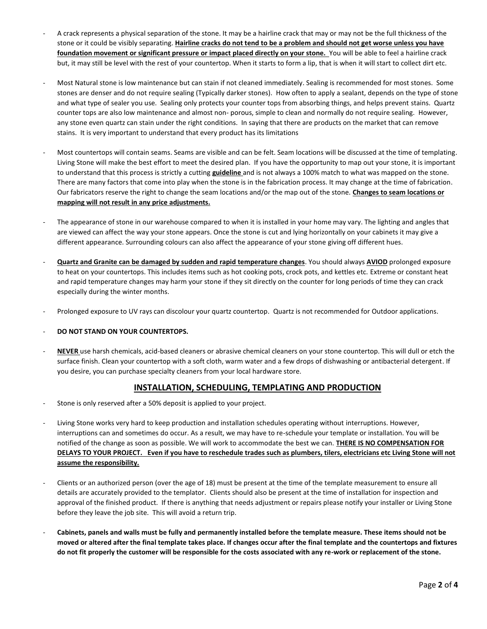- A crack represents a physical separation of the stone. It may be a hairline crack that may or may not be the full thickness of the stone or it could be visibly separating. **Hairline cracks do not tend to be a problem and should not get worse unless you have foundation movement or significant pressure or impact placed directly on your stone.** You will be able to feel a hairline crack but, it may still be level with the rest of your countertop. When it starts to form a lip, that is when it will start to collect dirt etc.
- Most Natural stone is low maintenance but can stain if not cleaned immediately. Sealing is recommended for most stones. Some stones are denser and do not require sealing (Typically darker stones). How often to apply a sealant, depends on the type of stone and what type of sealer you use. Sealing only protects your counter tops from absorbing things, and helps prevent stains. Quartz counter tops are also low maintenance and almost non- porous, simple to clean and normally do not require sealing. However, any stone even quartz can stain under the right conditions. In saying that there are products on the market that can remove stains. It is very important to understand that every product has its limitations
- Most countertops will contain seams. Seams are visible and can be felt. Seam locations will be discussed at the time of templating. Living Stone will make the best effort to meet the desired plan. If you have the opportunity to map out your stone, it is important to understand that this process is strictly a cutting **guideline** and is not always a 100% match to what was mapped on the stone. There are many factors that come into play when the stone is in the fabrication process. It may change at the time of fabrication. Our fabricators reserve the right to change the seam locations and/or the map out of the stone. **Changes to seam locations or mapping will not result in any price adjustments.**
- The appearance of stone in our warehouse compared to when it is installed in your home may vary. The lighting and angles that are viewed can affect the way your stone appears. Once the stone is cut and lying horizontally on your cabinets it may give a different appearance. Surrounding colours can also affect the appearance of your stone giving off different hues.
- **Quartz and Granite can be damaged by sudden and rapid temperature changes**. You should always **AVIOD** prolonged exposure to heat on your countertops. This includes items such as hot cooking pots, crock pots, and kettles etc. Extreme or constant heat and rapid temperature changes may harm your stone if they sit directly on the counter for long periods of time they can crack especially during the winter months.
- Prolonged exposure to UV rays can discolour your quartz countertop. Quartz is not recommended for Outdoor applications.

## - **DO NOT STAND ON YOUR COUNTERTOPS.**

NEVER use harsh chemicals, acid-based cleaners or abrasive chemical cleaners on your stone countertop. This will dull or etch the surface finish. Clean your countertop with a soft cloth, warm water and a few drops of dishwashing or antibacterial detergent. If you desire, you can purchase specialty cleaners from your local hardware store.

## **INSTALLATION, SCHEDULING, TEMPLATING AND PRODUCTION**

- Stone is only reserved after a 50% deposit is applied to your project.
- Living Stone works very hard to keep production and installation schedules operating without interruptions. However, interruptions can and sometimes do occur. As a result, we may have to re-schedule your template or installation. You will be notified of the change as soon as possible. We will work to accommodate the best we can. **THERE IS NO COMPENSATION FOR DELAYS TO YOUR PROJECT. Even if you have to reschedule trades such as plumbers, tilers, electricians etc Living Stone will not assume the responsibility.**
- Clients or an authorized person (over the age of 18) must be present at the time of the template measurement to ensure all details are accurately provided to the templator. Clients should also be present at the time of installation for inspection and approval of the finished product. If there is anything that needs adjustment or repairs please notify your installer or Living Stone before they leave the job site. This will avoid a return trip.
- **Cabinets, panels and walls must be fully and permanently installed before the template measure. These items should not be moved or altered after the final template takes place. If changes occur after the final template and the countertops and fixtures do not fit properly the customer will be responsible for the costs associated with any re-work or replacement of the stone.**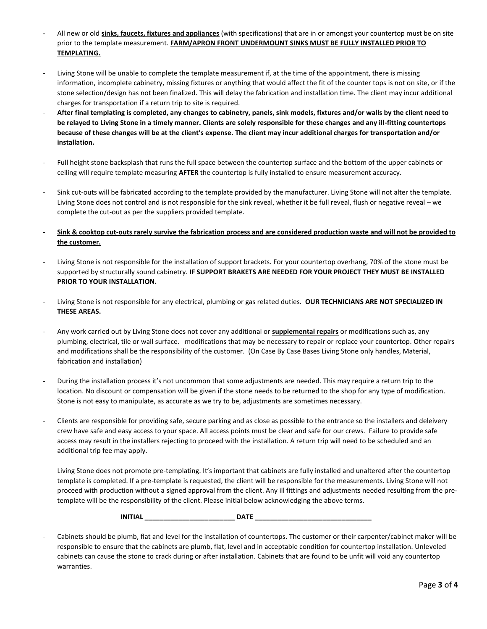- All new or old **sinks, faucets, fixtures and appliances** (with specifications) that are in or amongst your countertop must be on site prior to the template measurement. **FARM/APRON FRONT UNDERMOUNT SINKS MUST BE FULLY INSTALLED PRIOR TO TEMPLATING.**
- Living Stone will be unable to complete the template measurement if, at the time of the appointment, there is missing information, incomplete cabinetry, missing fixtures or anything that would affect the fit of the counter tops is not on site, or if the stone selection/design has not been finalized. This will delay the fabrication and installation time. The client may incur additional charges for transportation if a return trip to site is required.
- **After final templating is completed, any changes to cabinetry, panels, sink models, fixtures and/or walls by the client need to be relayed to Living Stone in a timely manner. Clients are solely responsible for these changes and any ill-fitting countertops because of these changes will be at the client's expense. The client may incur additional charges for transportation and/or installation.**
- Full height stone backsplash that runs the full space between the countertop surface and the bottom of the upper cabinets or ceiling will require template measuring **AFTER** the countertop is fully installed to ensure measurement accuracy.
- Sink cut-outs will be fabricated according to the template provided by the manufacturer. Living Stone will not alter the template. Living Stone does not control and is not responsible for the sink reveal, whether it be full reveal, flush or negative reveal – we complete the cut-out as per the suppliers provided template.
- **Sink & cooktop cut-outs rarely survive the fabrication process and are considered production waste and will not be provided to the customer.**
- Living Stone is not responsible for the installation of support brackets. For your countertop overhang, 70% of the stone must be supported by structurally sound cabinetry. **IF SUPPORT BRAKETS ARE NEEDED FOR YOUR PROJECT THEY MUST BE INSTALLED PRIOR TO YOUR INSTALLATION.**
- Living Stone is not responsible for any electrical, plumbing or gas related duties. **OUR TECHNICIANS ARE NOT SPECIALIZED IN THESE AREAS.**
- Any work carried out by Living Stone does not cover any additional or **supplemental repairs** or modifications such as, any plumbing, electrical, tile or wall surface. modifications that may be necessary to repair or replace your countertop. Other repairs and modifications shall be the responsibility of the customer. (On Case By Case Bases Living Stone only handles, Material, fabrication and installation)
- During the installation process it's not uncommon that some adjustments are needed. This may require a return trip to the location. No discount or compensation will be given if the stone needs to be returned to the shop for any type of modification. Stone is not easy to manipulate, as accurate as we try to be, adjustments are sometimes necessary.
- Clients are responsible for providing safe, secure parking and as close as possible to the entrance so the installers and deleivery crew have safe and easy access to your space. All access points must be clear and safe for our crews. Failure to provide safe access may result in the installers rejecting to proceed with the installation. A return trip will need to be scheduled and an additional trip fee may apply.
- Living Stone does not promote pre-templating. It's important that cabinets are fully installed and unaltered after the countertop template is completed. If a pre-template is requested, the client will be responsible for the measurements. Living Stone will not proceed with production without a signed approval from the client. Any ill fittings and adjustments needed resulting from the pretemplate will be the responsibility of the client. Please initial below acknowledging the above terms.

 **INITIAL \_\_\_\_\_\_\_\_\_\_\_\_\_\_\_\_\_\_\_\_\_\_\_\_ DATE \_\_\_\_\_\_\_\_\_\_\_\_\_\_\_\_\_\_\_\_\_\_\_\_\_\_\_\_\_\_\_**

Cabinets should be plumb, flat and level for the installation of countertops. The customer or their carpenter/cabinet maker will be responsible to ensure that the cabinets are plumb, flat, level and in acceptable condition for countertop installation. Unleveled cabinets can cause the stone to crack during or after installation. Cabinets that are found to be unfit will void any countertop warranties.